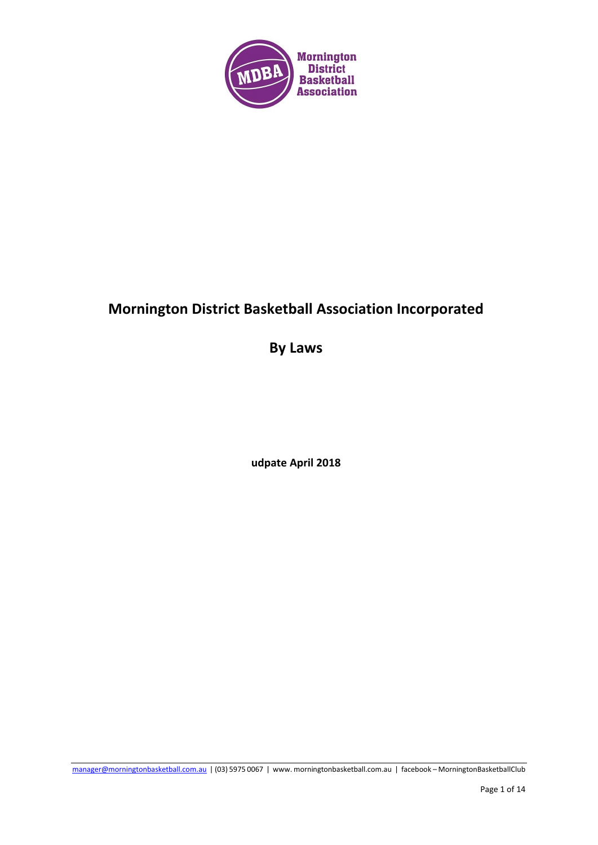

# **Mornington District Basketball Association Incorporated**

**By Laws**

**udpate April 2018**

[manager@morningtonbasketball.com.au](mailto:manager@morningtonbasketball.com.au) | (03) 5975 0067 | www. morningtonbasketball.com.au | facebook – MorningtonBasketballClub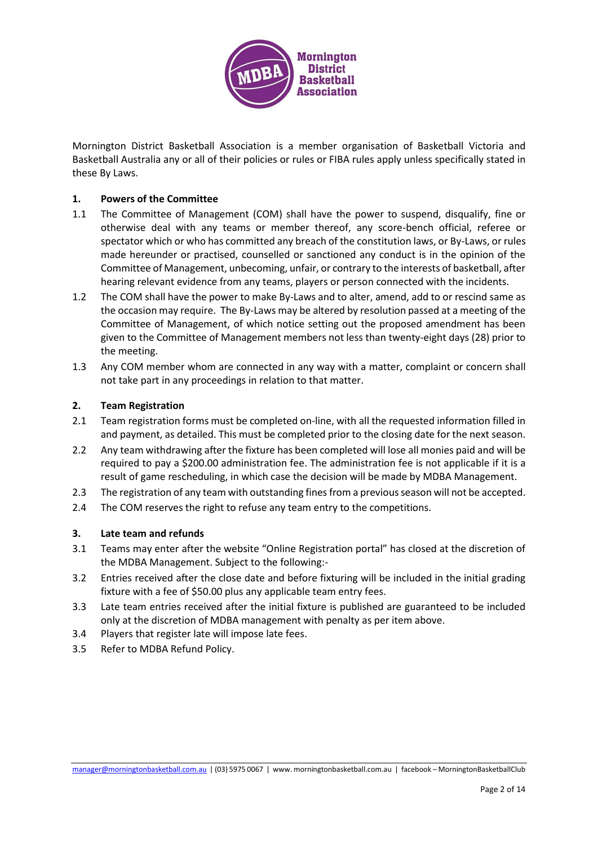

Mornington District Basketball Association is a member organisation of Basketball Victoria and Basketball Australia any or all of their policies or rules or FIBA rules apply unless specifically stated in these By Laws.

#### **1. Powers of the Committee**

- 1.1 The Committee of Management (COM) shall have the power to suspend, disqualify, fine or otherwise deal with any teams or member thereof, any score-bench official, referee or spectator which or who has committed any breach of the constitution laws, or By-Laws, or rules made hereunder or practised, counselled or sanctioned any conduct is in the opinion of the Committee of Management, unbecoming, unfair, or contrary to the interests of basketball, after hearing relevant evidence from any teams, players or person connected with the incidents.
- 1.2 The COM shall have the power to make By-Laws and to alter, amend, add to or rescind same as the occasion may require. The By-Laws may be altered by resolution passed at a meeting of the Committee of Management, of which notice setting out the proposed amendment has been given to the Committee of Management members not less than twenty-eight days (28) prior to the meeting.
- 1.3 Any COM member whom are connected in any way with a matter, complaint or concern shall not take part in any proceedings in relation to that matter.

#### **2. Team Registration**

- 2.1 Team registration forms must be completed on-line, with all the requested information filled in and payment, as detailed. This must be completed prior to the closing date for the next season.
- 2.2 Any team withdrawing after the fixture has been completed will lose all monies paid and will be required to pay a \$200.00 administration fee. The administration fee is not applicable if it is a result of game rescheduling, in which case the decision will be made by MDBA Management.
- 2.3 The registration of any team with outstanding fines from a previous season will not be accepted.
- 2.4 The COM reserves the right to refuse any team entry to the competitions.

#### **3. Late team and refunds**

- 3.1 Teams may enter after the website "Online Registration portal" has closed at the discretion of the MDBA Management. Subject to the following:-
- 3.2 Entries received after the close date and before fixturing will be included in the initial grading fixture with a fee of \$50.00 plus any applicable team entry fees.
- 3.3 Late team entries received after the initial fixture is published are guaranteed to be included only at the discretion of MDBA management with penalty as per item above.
- 3.4 Players that register late will impose late fees.
- 3.5 Refer to MDBA Refund Policy.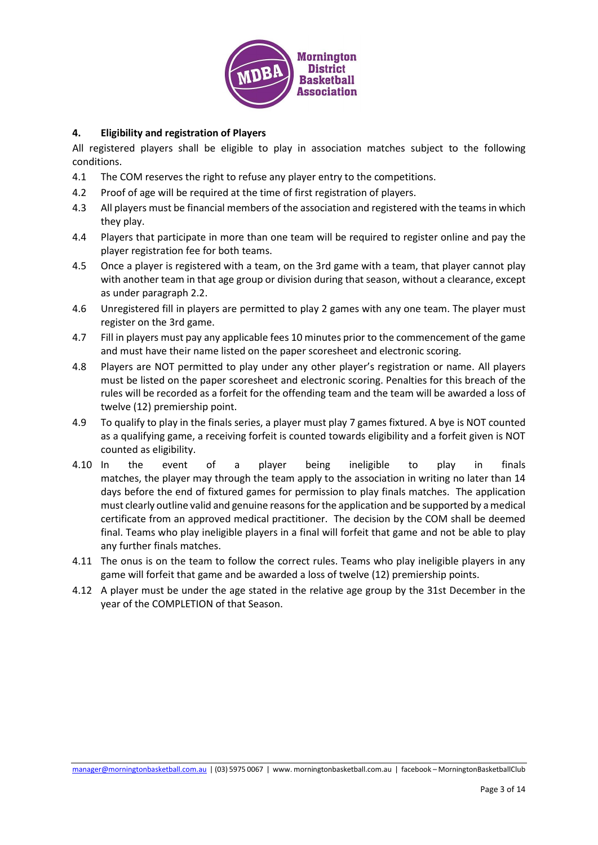

# **4. Eligibility and registration of Players**

All registered players shall be eligible to play in association matches subject to the following conditions.

- 4.1 The COM reserves the right to refuse any player entry to the competitions.
- 4.2 Proof of age will be required at the time of first registration of players.
- 4.3 All players must be financial members of the association and registered with the teams in which they play.
- 4.4 Players that participate in more than one team will be required to register online and pay the player registration fee for both teams.
- 4.5 Once a player is registered with a team, on the 3rd game with a team, that player cannot play with another team in that age group or division during that season, without a clearance, except as under paragraph 2.2.
- 4.6 Unregistered fill in players are permitted to play 2 games with any one team. The player must register on the 3rd game.
- 4.7 Fill in players must pay any applicable fees 10 minutes prior to the commencement of the game and must have their name listed on the paper scoresheet and electronic scoring.
- 4.8 Players are NOT permitted to play under any other player's registration or name. All players must be listed on the paper scoresheet and electronic scoring. Penalties for this breach of the rules will be recorded as a forfeit for the offending team and the team will be awarded a loss of twelve (12) premiership point.
- 4.9 To qualify to play in the finals series, a player must play 7 games fixtured. A bye is NOT counted as a qualifying game, a receiving forfeit is counted towards eligibility and a forfeit given is NOT counted as eligibility.
- 4.10 In the event of a player being ineligible to play in finals matches, the player may through the team apply to the association in writing no later than 14 days before the end of fixtured games for permission to play finals matches. The application must clearly outline valid and genuine reasons for the application and be supported by a medical certificate from an approved medical practitioner. The decision by the COM shall be deemed final. Teams who play ineligible players in a final will forfeit that game and not be able to play any further finals matches.
- 4.11 The onus is on the team to follow the correct rules. Teams who play ineligible players in any game will forfeit that game and be awarded a loss of twelve (12) premiership points.
- 4.12 A player must be under the age stated in the relative age group by the 31st December in the year of the COMPLETION of that Season.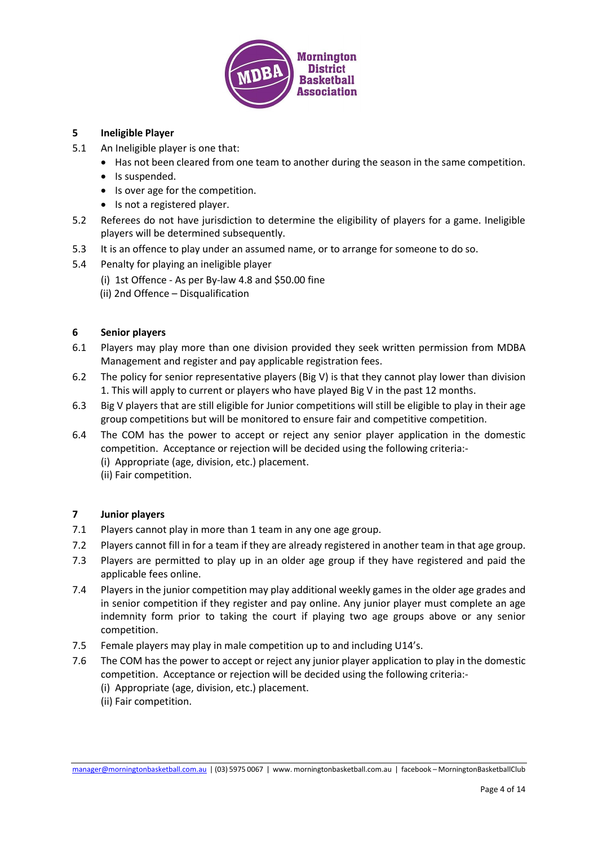

# **5 Ineligible Player**

- 5.1 An Ineligible player is one that:
	- Has not been cleared from one team to another during the season in the same competition.
	- Is suspended.
	- Is over age for the competition.
	- Is not a registered player.
- 5.2 Referees do not have jurisdiction to determine the eligibility of players for a game. Ineligible players will be determined subsequently.
- 5.3 It is an offence to play under an assumed name, or to arrange for someone to do so.
- 5.4 Penalty for playing an ineligible player
	- (i) 1st Offence As per By-law 4.8 and \$50.00 fine
	- (ii) 2nd Offence Disqualification

# **6 Senior players**

- 6.1 Players may play more than one division provided they seek written permission from MDBA Management and register and pay applicable registration fees.
- 6.2 The policy for senior representative players (Big V) is that they cannot play lower than division 1. This will apply to current or players who have played Big V in the past 12 months.
- 6.3 Big V players that are still eligible for Junior competitions will still be eligible to play in their age group competitions but will be monitored to ensure fair and competitive competition.
- 6.4 The COM has the power to accept or reject any senior player application in the domestic competition. Acceptance or rejection will be decided using the following criteria:-
	- (i) Appropriate (age, division, etc.) placement.
	- (ii) Fair competition.

# **7 Junior players**

- 7.1 Players cannot play in more than 1 team in any one age group.
- 7.2 Players cannot fill in for a team if they are already registered in another team in that age group.
- 7.3 Players are permitted to play up in an older age group if they have registered and paid the applicable fees online.
- 7.4 Players in the junior competition may play additional weekly games in the older age grades and in senior competition if they register and pay online. Any junior player must complete an age indemnity form prior to taking the court if playing two age groups above or any senior competition.
- 7.5 Female players may play in male competition up to and including U14's.
- 7.6 The COM has the power to accept or reject any junior player application to play in the domestic competition. Acceptance or rejection will be decided using the following criteria:-
	- (i) Appropriate (age, division, etc.) placement.
	- (ii) Fair competition.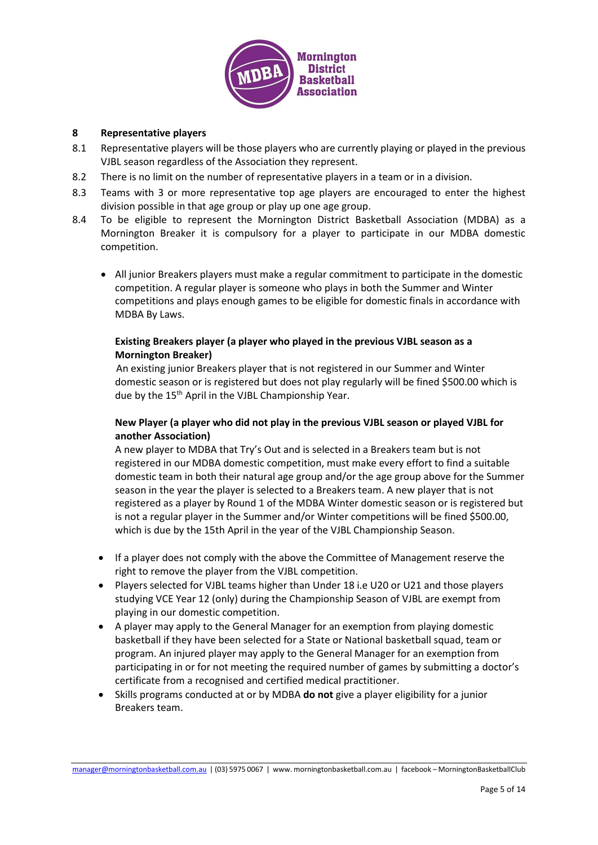

#### **8 Representative players**

- 8.1 Representative players will be those players who are currently playing or played in the previous VJBL season regardless of the Association they represent.
- 8.2 There is no limit on the number of representative players in a team or in a division.
- 8.3 Teams with 3 or more representative top age players are encouraged to enter the highest division possible in that age group or play up one age group.
- 8.4 To be eligible to represent the Mornington District Basketball Association (MDBA) as a Mornington Breaker it is compulsory for a player to participate in our MDBA domestic competition.
	- All junior Breakers players must make a regular commitment to participate in the domestic competition. A regular player is someone who plays in both the Summer and Winter competitions and plays enough games to be eligible for domestic finals in accordance with MDBA By Laws.

# **Existing Breakers player (a player who played in the previous VJBL season as a Mornington Breaker)**

An existing junior Breakers player that is not registered in our Summer and Winter domestic season or is registered but does not play regularly will be fined \$500.00 which is due by the 15<sup>th</sup> April in the VJBL Championship Year.

# **New Player (a player who did not play in the previous VJBL season or played VJBL for another Association)**

A new player to MDBA that Try's Out and is selected in a Breakers team but is not registered in our MDBA domestic competition, must make every effort to find a suitable domestic team in both their natural age group and/or the age group above for the Summer season in the year the player is selected to a Breakers team. A new player that is not registered as a player by Round 1 of the MDBA Winter domestic season or is registered but is not a regular player in the Summer and/or Winter competitions will be fined \$500.00, which is due by the 15th April in the year of the VJBL Championship Season.

- If a player does not comply with the above the Committee of Management reserve the right to remove the player from the VJBL competition.
- Players selected for VJBL teams higher than Under 18 i.e U20 or U21 and those players studying VCE Year 12 (only) during the Championship Season of VJBL are exempt from playing in our domestic competition.
- A player may apply to the General Manager for an exemption from playing domestic basketball if they have been selected for a State or National basketball squad, team or program. An injured player may apply to the General Manager for an exemption from participating in or for not meeting the required number of games by submitting a doctor's certificate from a recognised and certified medical practitioner.
- Skills programs conducted at or by MDBA **do not** give a player eligibility for a junior Breakers team.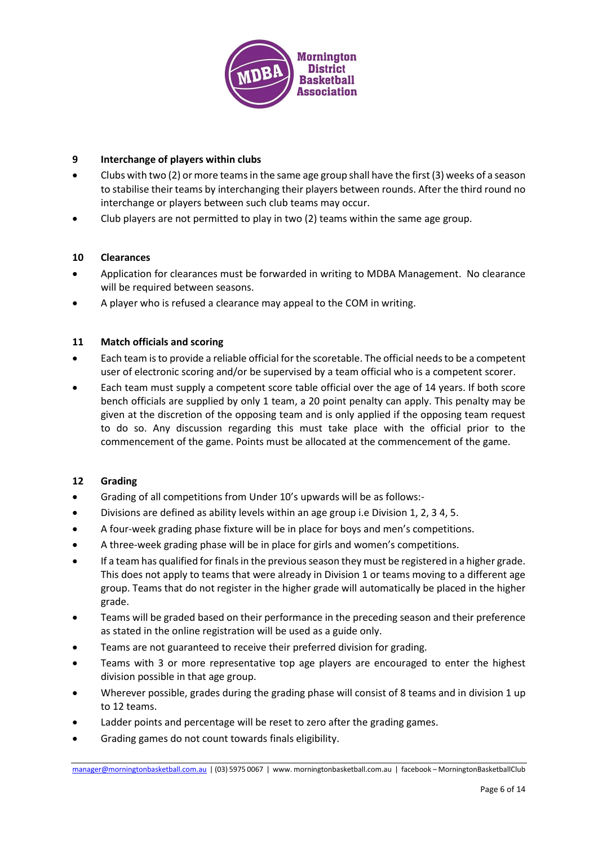

# **9 Interchange of players within clubs**

- Clubs with two (2) or more teams in the same age group shall have the first (3) weeks of a season to stabilise their teams by interchanging their players between rounds. After the third round no interchange or players between such club teams may occur.
- Club players are not permitted to play in two (2) teams within the same age group.

# **10 Clearances**

- Application for clearances must be forwarded in writing to MDBA Management. No clearance will be required between seasons.
- A player who is refused a clearance may appeal to the COM in writing.

# **11 Match officials and scoring**

- Each team is to provide a reliable official for the scoretable. The official needs to be a competent user of electronic scoring and/or be supervised by a team official who is a competent scorer.
- Each team must supply a competent score table official over the age of 14 years. If both score bench officials are supplied by only 1 team, a 20 point penalty can apply. This penalty may be given at the discretion of the opposing team and is only applied if the opposing team request to do so. Any discussion regarding this must take place with the official prior to the commencement of the game. Points must be allocated at the commencement of the game.

#### **12 Grading**

- Grading of all competitions from Under 10's upwards will be as follows:-
- Divisions are defined as ability levels within an age group i.e Division 1, 2, 3 4, 5.
- A four-week grading phase fixture will be in place for boys and men's competitions.
- A three-week grading phase will be in place for girls and women's competitions.
- If a team has qualified for finals in the previous season they must be registered in a higher grade. This does not apply to teams that were already in Division 1 or teams moving to a different age group. Teams that do not register in the higher grade will automatically be placed in the higher grade.
- Teams will be graded based on their performance in the preceding season and their preference as stated in the online registration will be used as a guide only.
- Teams are not guaranteed to receive their preferred division for grading.
- Teams with 3 or more representative top age players are encouraged to enter the highest division possible in that age group.
- Wherever possible, grades during the grading phase will consist of 8 teams and in division 1 up to 12 teams.
- Ladder points and percentage will be reset to zero after the grading games.
- Grading games do not count towards finals eligibility.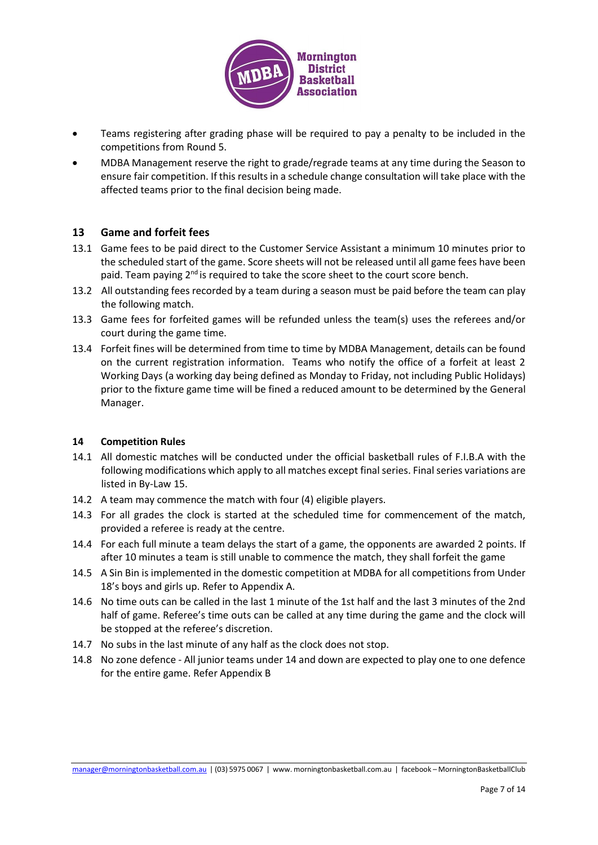

- Teams registering after grading phase will be required to pay a penalty to be included in the competitions from Round 5.
- MDBA Management reserve the right to grade/regrade teams at any time during the Season to ensure fair competition. If this results in a schedule change consultation will take place with the affected teams prior to the final decision being made.

# **13 Game and forfeit fees**

- 13.1 Game fees to be paid direct to the Customer Service Assistant a minimum 10 minutes prior to the scheduled start of the game. Score sheets will not be released until all game fees have been paid. Team paying 2<sup>nd</sup> is required to take the score sheet to the court score bench.
- 13.2 All outstanding fees recorded by a team during a season must be paid before the team can play the following match.
- 13.3 Game fees for forfeited games will be refunded unless the team(s) uses the referees and/or court during the game time.
- 13.4 Forfeit fines will be determined from time to time by MDBA Management, details can be found on the current registration information. Teams who notify the office of a forfeit at least 2 Working Days (a working day being defined as Monday to Friday, not including Public Holidays) prior to the fixture game time will be fined a reduced amount to be determined by the General Manager.

#### **14 Competition Rules**

- 14.1 All domestic matches will be conducted under the official basketball rules of F.I.B.A with the following modifications which apply to all matches except final series. Final series variations are listed in By-Law 15.
- 14.2 A team may commence the match with four (4) eligible players.
- 14.3 For all grades the clock is started at the scheduled time for commencement of the match, provided a referee is ready at the centre.
- 14.4 For each full minute a team delays the start of a game, the opponents are awarded 2 points. If after 10 minutes a team is still unable to commence the match, they shall forfeit the game
- 14.5 A Sin Bin is implemented in the domestic competition at MDBA for all competitions from Under 18's boys and girls up. Refer to Appendix A.
- 14.6 No time outs can be called in the last 1 minute of the 1st half and the last 3 minutes of the 2nd half of game. Referee's time outs can be called at any time during the game and the clock will be stopped at the referee's discretion.
- 14.7 No subs in the last minute of any half as the clock does not stop.
- 14.8 No zone defence All junior teams under 14 and down are expected to play one to one defence for the entire game. Refer Appendix B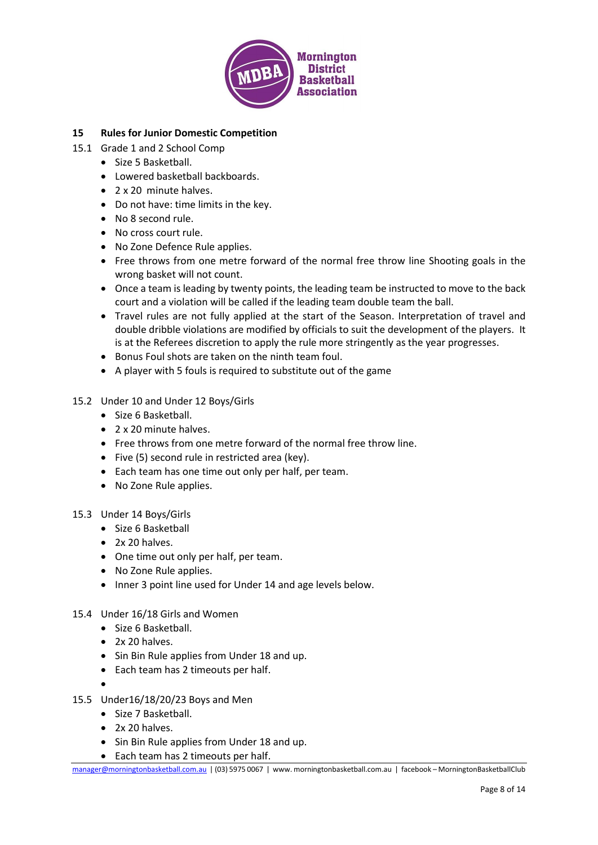

# **15 Rules for Junior Domestic Competition**

- 15.1 Grade 1 and 2 School Comp
	- Size 5 Basketball.
	- Lowered basketball backboards.
	- 2 x 20 minute halves.
	- Do not have: time limits in the key.
	- No 8 second rule.
	- No cross court rule.
	- No Zone Defence Rule applies.
	- Free throws from one metre forward of the normal free throw line Shooting goals in the wrong basket will not count.
	- Once a team is leading by twenty points, the leading team be instructed to move to the back court and a violation will be called if the leading team double team the ball.
	- Travel rules are not fully applied at the start of the Season. Interpretation of travel and double dribble violations are modified by officials to suit the development of the players. It is at the Referees discretion to apply the rule more stringently as the year progresses.
	- Bonus Foul shots are taken on the ninth team foul.
	- A player with 5 fouls is required to substitute out of the game
- 15.2 Under 10 and Under 12 Boys/Girls
	- Size 6 Basketball.
	- 2 x 20 minute halves.
	- Free throws from one metre forward of the normal free throw line.
	- Five (5) second rule in restricted area (key).
	- Each team has one time out only per half, per team.
	- No Zone Rule applies.
- 15.3 Under 14 Boys/Girls
	- Size 6 Basketball
	- 2x 20 halves.
	- One time out only per half, per team.
	- No Zone Rule applies.
	- Inner 3 point line used for Under 14 and age levels below.
- 15.4 Under 16/18 Girls and Women
	- Size 6 Basketball.
	- 2x 20 halves.
	- Sin Bin Rule applies from Under 18 and up.
	- Each team has 2 timeouts per half.
	- •
- 15.5 Under16/18/20/23 Boys and Men
	- Size 7 Basketball.
	- 2x 20 halves.
	- Sin Bin Rule applies from Under 18 and up.
	- Each team has 2 timeouts per half.

[manager@morningtonbasketball.com.au](mailto:manager@morningtonbasketball.com.au) | (03) 5975 0067 | www. morningtonbasketball.com.au | facebook – MorningtonBasketballClub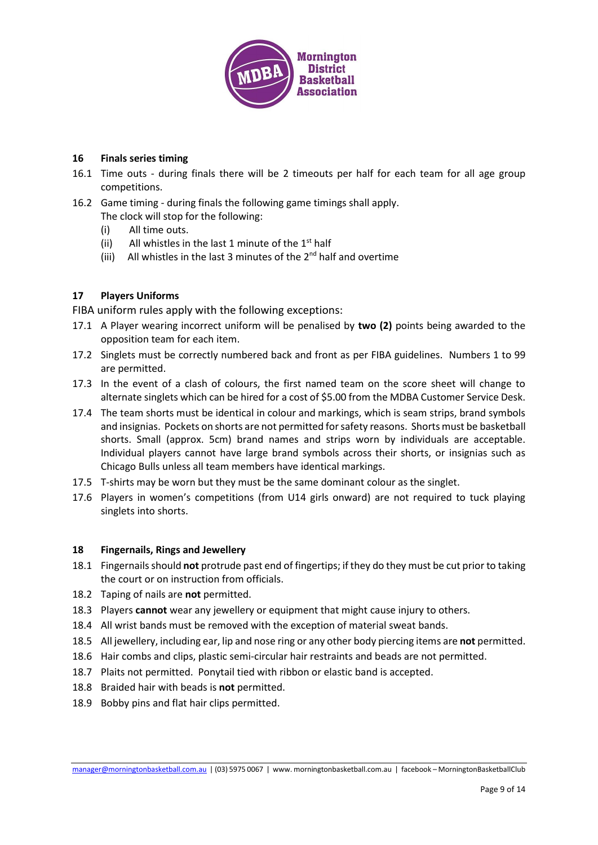

# **16 Finals series timing**

- 16.1 Time outs during finals there will be 2 timeouts per half for each team for all age group competitions.
- 16.2 Game timing during finals the following game timings shall apply. The clock will stop for the following:
	- (i) All time outs.
	- (ii) All whistles in the last 1 minute of the  $1<sup>st</sup>$  half
	- (iii) All whistles in the last 3 minutes of the  $2<sup>nd</sup>$  half and overtime

# **17 Players Uniforms**

FIBA uniform rules apply with the following exceptions:

- 17.1 A Player wearing incorrect uniform will be penalised by **two (2)** points being awarded to the opposition team for each item.
- 17.2 Singlets must be correctly numbered back and front as per FIBA guidelines. Numbers 1 to 99 are permitted.
- 17.3 In the event of a clash of colours, the first named team on the score sheet will change to alternate singlets which can be hired for a cost of \$5.00 from the MDBA Customer Service Desk.
- 17.4 The team shorts must be identical in colour and markings, which is seam strips, brand symbols and insignias. Pockets on shorts are not permitted for safety reasons. Shorts must be basketball shorts. Small (approx. 5cm) brand names and strips worn by individuals are acceptable. Individual players cannot have large brand symbols across their shorts, or insignias such as Chicago Bulls unless all team members have identical markings.
- 17.5 T-shirts may be worn but they must be the same dominant colour as the singlet.
- 17.6 Players in women's competitions (from U14 girls onward) are not required to tuck playing singlets into shorts.

#### **18 Fingernails, Rings and Jewellery**

- 18.1 Fingernails should **not** protrude past end of fingertips; if they do they must be cut prior to taking the court or on instruction from officials.
- 18.2 Taping of nails are **not** permitted.
- 18.3 Players **cannot** wear any jewellery or equipment that might cause injury to others.
- 18.4 All wrist bands must be removed with the exception of material sweat bands.
- 18.5 All jewellery, including ear, lip and nose ring or any other body piercing items are **not** permitted.
- 18.6 Hair combs and clips, plastic semi-circular hair restraints and beads are not permitted.
- 18.7 Plaits not permitted. Ponytail tied with ribbon or elastic band is accepted.
- 18.8 Braided hair with beads is **not** permitted.
- 18.9 Bobby pins and flat hair clips permitted.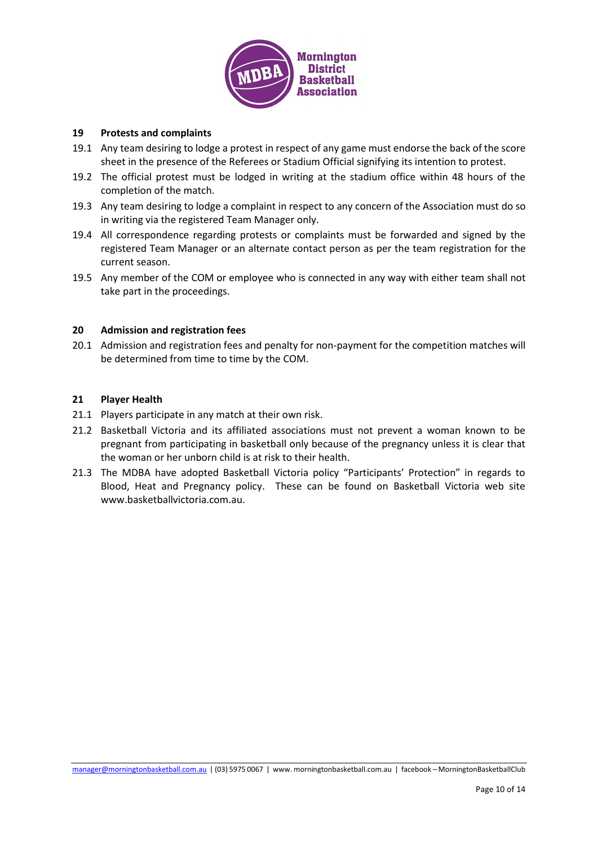

#### **19 Protests and complaints**

- 19.1 Any team desiring to lodge a protest in respect of any game must endorse the back of the score sheet in the presence of the Referees or Stadium Official signifying its intention to protest.
- 19.2 The official protest must be lodged in writing at the stadium office within 48 hours of the completion of the match.
- 19.3 Any team desiring to lodge a complaint in respect to any concern of the Association must do so in writing via the registered Team Manager only.
- 19.4 All correspondence regarding protests or complaints must be forwarded and signed by the registered Team Manager or an alternate contact person as per the team registration for the current season.
- 19.5 Any member of the COM or employee who is connected in any way with either team shall not take part in the proceedings.

#### **20 Admission and registration fees**

20.1 Admission and registration fees and penalty for non-payment for the competition matches will be determined from time to time by the COM.

#### **21 Player Health**

- 21.1 Players participate in any match at their own risk.
- 21.2 Basketball Victoria and its affiliated associations must not prevent a woman known to be pregnant from participating in basketball only because of the pregnancy unless it is clear that the woman or her unborn child is at risk to their health.
- 21.3 The MDBA have adopted Basketball Victoria policy "Participants' Protection" in regards to Blood, Heat and Pregnancy policy. These can be found on Basketball Victoria web site www.basketballvictoria.com.au.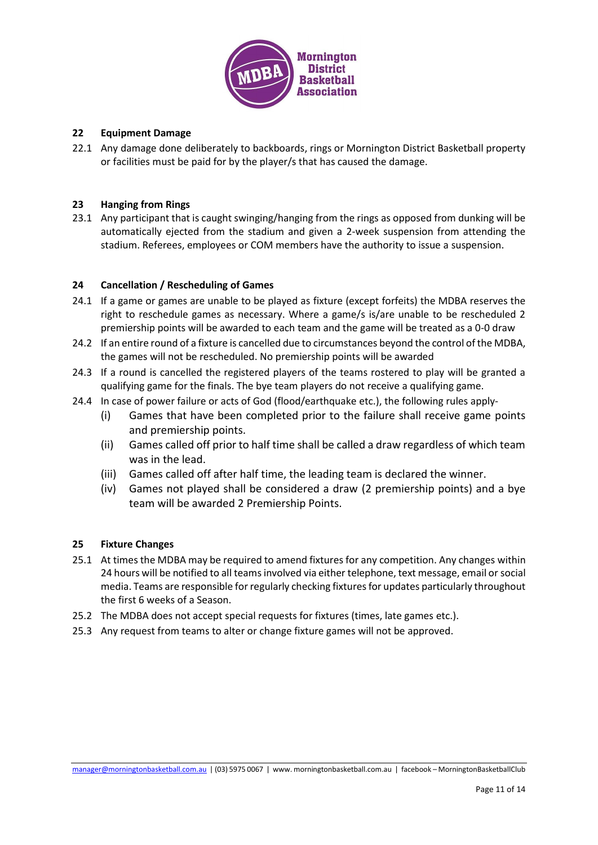

# **22 Equipment Damage**

22.1 Any damage done deliberately to backboards, rings or Mornington District Basketball property or facilities must be paid for by the player/s that has caused the damage.

#### **23 Hanging from Rings**

23.1 Any participant that is caught swinging/hanging from the rings as opposed from dunking will be automatically ejected from the stadium and given a 2-week suspension from attending the stadium. Referees, employees or COM members have the authority to issue a suspension.

#### **24 Cancellation / Rescheduling of Games**

- 24.1 If a game or games are unable to be played as fixture (except forfeits) the MDBA reserves the right to reschedule games as necessary. Where a game/s is/are unable to be rescheduled 2 premiership points will be awarded to each team and the game will be treated as a 0-0 draw
- 24.2 If an entire round of a fixture is cancelled due to circumstances beyond the control of the MDBA, the games will not be rescheduled. No premiership points will be awarded
- 24.3 If a round is cancelled the registered players of the teams rostered to play will be granted a qualifying game for the finals. The bye team players do not receive a qualifying game.
- 24.4 In case of power failure or acts of God (flood/earthquake etc.), the following rules apply-
	- (i) Games that have been completed prior to the failure shall receive game points and premiership points.
	- (ii) Games called off prior to half time shall be called a draw regardless of which team was in the lead.
	- (iii) Games called off after half time, the leading team is declared the winner.
	- (iv) Games not played shall be considered a draw (2 premiership points) and a bye team will be awarded 2 Premiership Points.

#### **25 Fixture Changes**

- 25.1 At times the MDBA may be required to amend fixtures for any competition. Any changes within 24 hours will be notified to all teams involved via either telephone, text message, email or social media. Teams are responsible for regularly checking fixtures for updates particularly throughout the first 6 weeks of a Season.
- 25.2 The MDBA does not accept special requests for fixtures (times, late games etc.).
- 25.3 Any request from teams to alter or change fixture games will not be approved.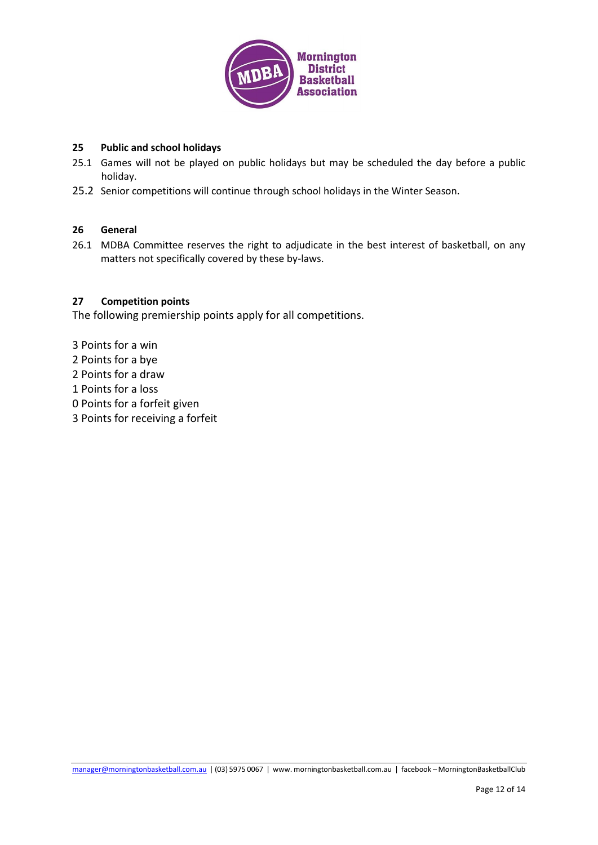

# **25 Public and school holidays**

- 25.1 Games will not be played on public holidays but may be scheduled the day before a public holiday.
- 25.2 Senior competitions will continue through school holidays in the Winter Season.

#### **26 General**

26.1 MDBA Committee reserves the right to adjudicate in the best interest of basketball, on any matters not specifically covered by these by-laws.

#### **27 Competition points**

The following premiership points apply for all competitions.

3 Points for a win 2 Points for a bye 2 Points for a draw 1 Points for a loss 0 Points for a forfeit given 3 Points for receiving a forfeit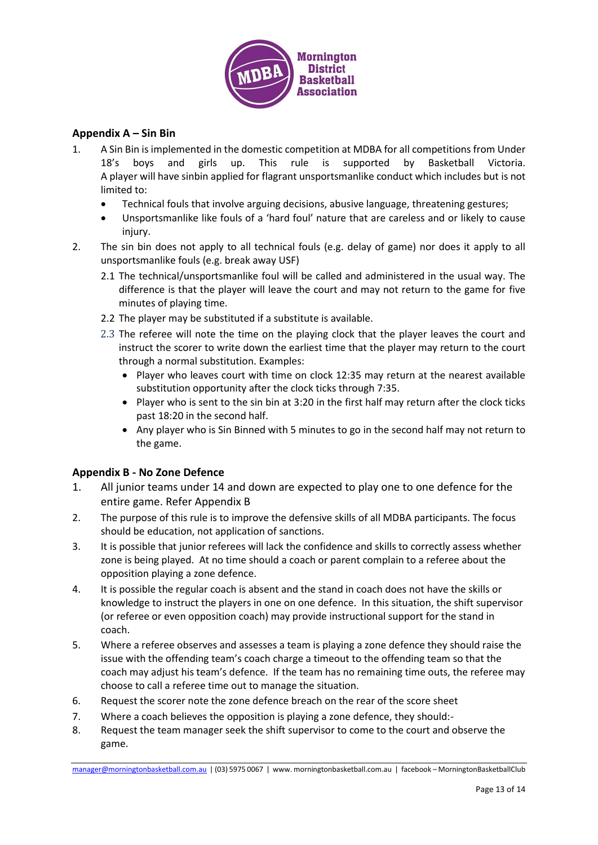

# **Appendix A – Sin Bin**

- 1. A Sin Bin is implemented in the domestic competition at MDBA for all competitions from Under 18's boys and girls up. This rule is supported by Basketball Victoria. A player will have sinbin applied for flagrant unsportsmanlike conduct which includes but is not limited to:
	- Technical fouls that involve arguing decisions, abusive language, threatening gestures;
	- Unsportsmanlike like fouls of a 'hard foul' nature that are careless and or likely to cause injury.
- 2. The sin bin does not apply to all technical fouls (e.g. delay of game) nor does it apply to all unsportsmanlike fouls (e.g. break away USF)
	- 2.1 The technical/unsportsmanlike foul will be called and administered in the usual way. The difference is that the player will leave the court and may not return to the game for five minutes of playing time.
	- 2.2 The player may be substituted if a substitute is available.
	- 2.3 The referee will note the time on the playing clock that the player leaves the court and instruct the scorer to write down the earliest time that the player may return to the court through a normal substitution. Examples:
		- Player who leaves court with time on clock 12:35 may return at the nearest available substitution opportunity after the clock ticks through 7:35.
		- Player who is sent to the sin bin at 3:20 in the first half may return after the clock ticks past 18:20 in the second half.
		- Any player who is Sin Binned with 5 minutes to go in the second half may not return to the game.

# **Appendix B - No Zone Defence**

- 1. All junior teams under 14 and down are expected to play one to one defence for the entire game. Refer Appendix B
- 2. The purpose of this rule is to improve the defensive skills of all MDBA participants. The focus should be education, not application of sanctions.
- 3. It is possible that junior referees will lack the confidence and skills to correctly assess whether zone is being played. At no time should a coach or parent complain to a referee about the opposition playing a zone defence.
- 4. It is possible the regular coach is absent and the stand in coach does not have the skills or knowledge to instruct the players in one on one defence. In this situation, the shift supervisor (or referee or even opposition coach) may provide instructional support for the stand in coach.
- 5. Where a referee observes and assesses a team is playing a zone defence they should raise the issue with the offending team's coach charge a timeout to the offending team so that the coach may adjust his team's defence. If the team has no remaining time outs, the referee may choose to call a referee time out to manage the situation.
- 6. Request the scorer note the zone defence breach on the rear of the score sheet
- 7. Where a coach believes the opposition is playing a zone defence, they should:-
- 8. Request the team manager seek the shift supervisor to come to the court and observe the game.

[manager@morningtonbasketball.com.au](mailto:manager@morningtonbasketball.com.au) | (03) 5975 0067 | www. morningtonbasketball.com.au | facebook – MorningtonBasketballClub